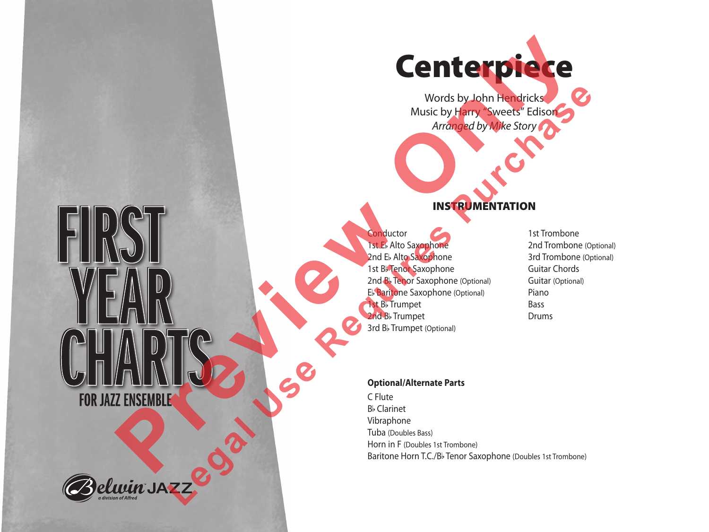

Words by John Hendricks Music by Harry "Sweets" Edison *Arranged by Mike Story*

# **INSTRUMENTATION**

**Conductor** 1st Eb Alto Saxophone 2nd E<sub>b</sub> Alto Saxophone 1st Bb Tenor Saxophone 2nd B<sub>b</sub> Tenor Saxophone (Optional) Eb Baritone Saxophone (Optional) 1st Bb Trumpet 2nd B<sub>b</sub> Trumpet 3rd Bb Trumpet (Optional)

1st Trombone 2nd Trombone (Optional) 3rd Trombone (Optional) Guitar Chords Guitar (Optional) Piano Bass Drums

## **Optional/Alternate Parts**

C Flute Bb Clarinet Vibraphone Tuba (Doubles Bass) Horn in F (Doubles 1st Trombone) Baritone Horn T.C./Bb Tenor Saxophone (Doubles 1st Trombone) Words by January Sweets" Edisor<br>
Amangazi by Aglice Story 2014<br>
Amangazi by Aglice Story 2014<br>
And E. Alta Samphone<br>
MISKED MENTATION<br>
INSTRUMENTATION<br>
The Channel Contact Condita Contact Condita Condita Condita Condita Co

# **Centerpiece**<br>
Music by John Rendricks<br>
Music by Hom Rendricks<br>
Music by Hom Rendricks<br>
And But Box Seption Council is and Tombor<br>
The Council of Barbon Box Seption Council<br>
Preview Scribter Box Seption Council<br>
Preview Sc

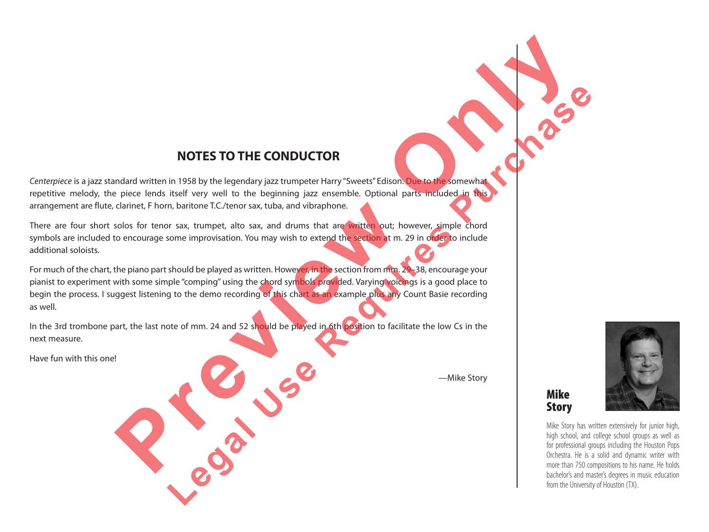## **NOTES TO THE CONDUCTOR**

*Centerpiece* is a jazz standard written in 1958 by the legendary jazz trumpeter Harry "Sweets" Edison. Due to the somewhat repetitive melody, the piece lends itself very well to the beginning jazz ensemble. Optional parts included in this arrangement are flute, clarinet, F horn, baritone T.C./tenor sax, tuba, and vibraphone.

There are four short solos for tenor sax, trumpet, alto sax, and drums that are written out; however, simple chord symbols are included to encourage some improvisation. You may wish to extend the section at m. 29 in order to include additional soloists.

For much of the chart, the piano part should be played as written. However, in the section from mm. 29–38, encourage your pianist to experiment with some simple "comping" using the chord symbols provided. Varying voicings is a good place to begin the process. I suggest listening to the demo recording of this chart as an example plus any Count Basie recording as well. NOTES TO THE CONDUCTOR<br>
NATION CONDUCTOR<br>
The prescription in 1954 by the logic term of the conduction of the second particle in the conduction of the<br>
conduction to the conduction was also assumed that we can be a second **NOTES TO THE CONDUCTOR**<br>
In 1958 by the legendary jazz runneretr Harry "Sweet" Edition Contentional content and the best very well to the best required to prisonal parts "included in the term is that we can be content the

In the 3rd trombone part, the last note of mm. 24 and 52 should be played in 6th position to facilitate the low Cs in the next measure.

Have fun with this one!

—Mike Story

Mike Story has written extensively for junior high, high school, and college school groups as well as for professional groups including the Houston Pops Orchestra. He is a solid and dynamic writer with more than 750 compositions to his name. He holds from the University of Houston (TX).

Mike **Story**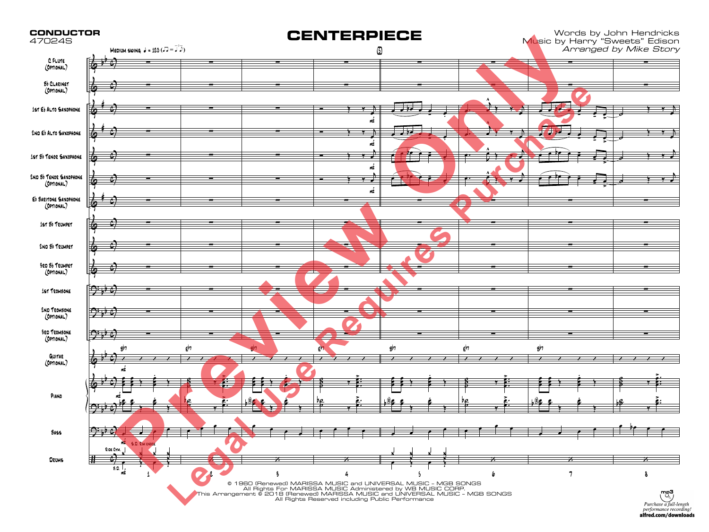

performance recording! alfred.com/downloads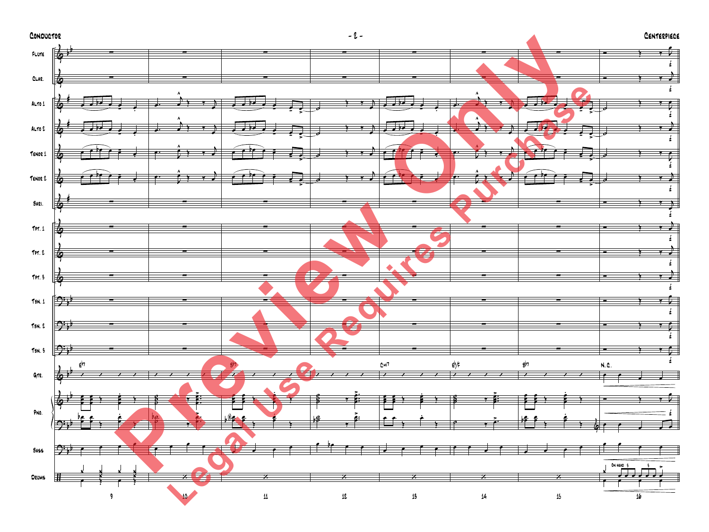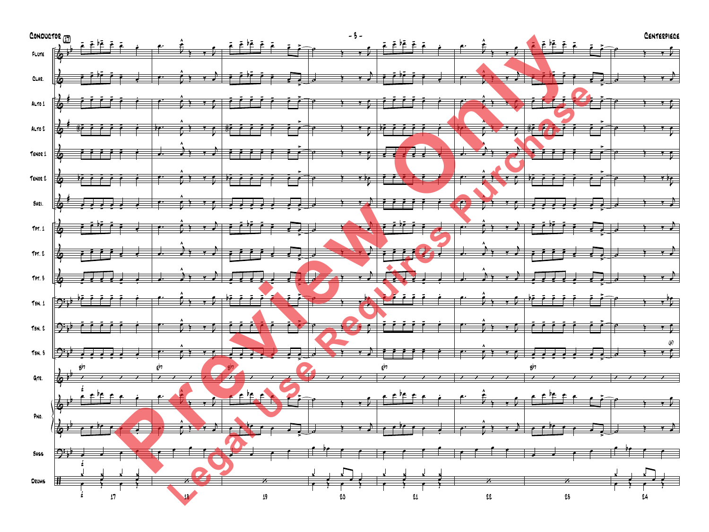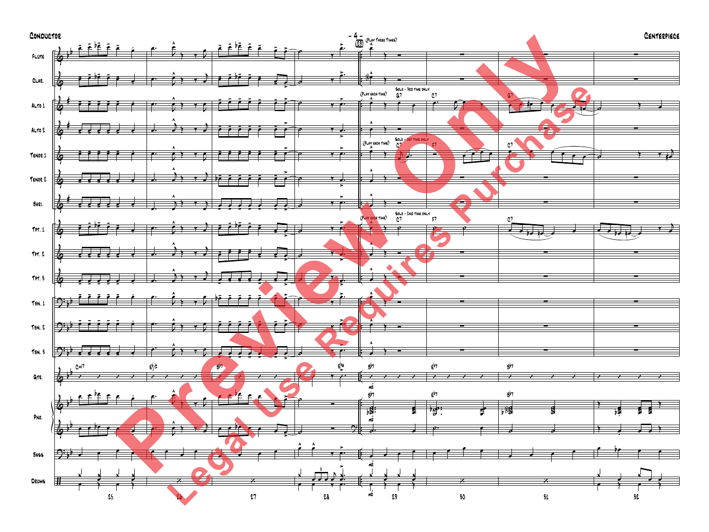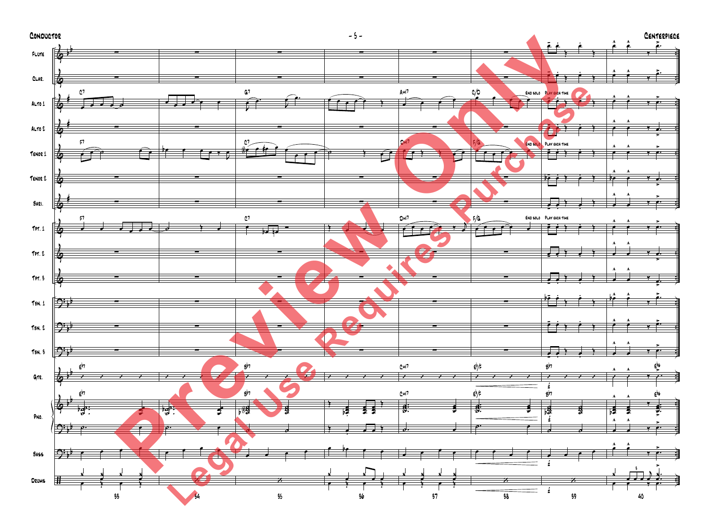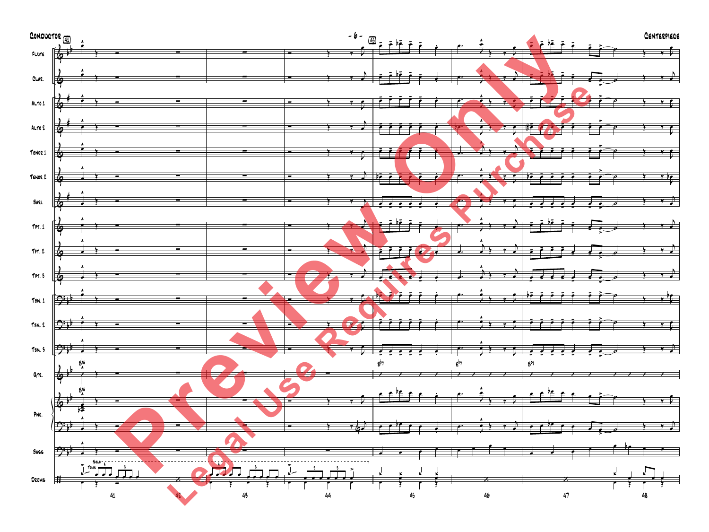